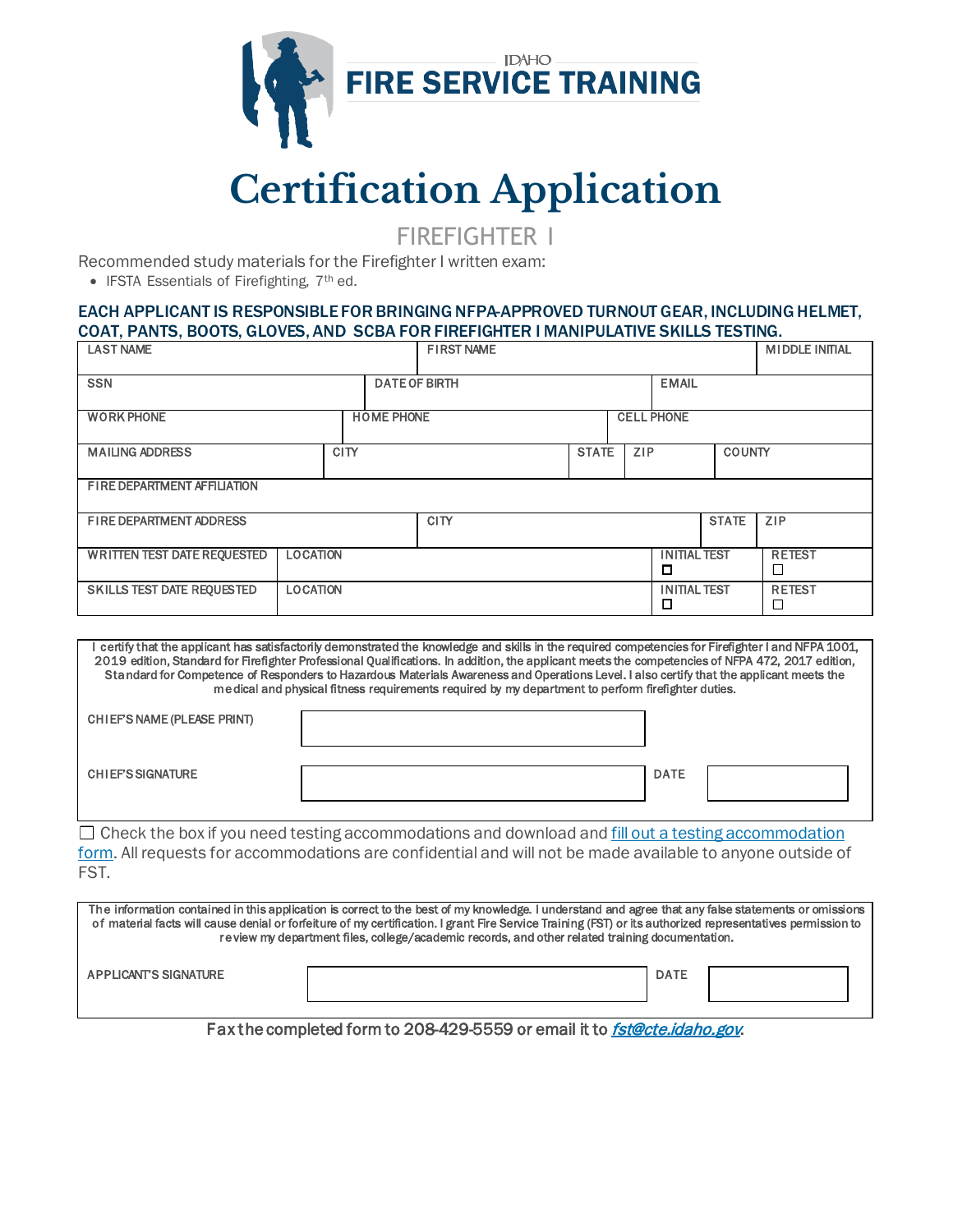

# **Certification Application**

FIREFIGHTER I

Recommended study materials for the Firefighter I written exam:

• IFSTA Essentials of Firefighting, 7th ed.

#### EACH APPLICANT IS RESPONSIBLE FOR BRINGING NFPA-APPROVED TURNOUT GEAR, INCLUDING HELMET, COAT, PANTS, BOOTS, GLOVES, AND SCBA FOR FIREFIGHTER I MANIPULATIVE SKILLS TESTING.

| <b>LAST NAME</b>                                      |  |  |                                        | <b>FIRST NAME</b>                    |            |                          |                          |               | <b>MIDDLE INITIAL</b>                     |
|-------------------------------------------------------|--|--|----------------------------------------|--------------------------------------|------------|--------------------------|--------------------------|---------------|-------------------------------------------|
| <b>SSN</b>                                            |  |  |                                        | <b>EMAIL</b><br><b>DATE OF BIRTH</b> |            |                          |                          |               |                                           |
| <b>WORK PHONE</b>                                     |  |  | <b>HOME PHONE</b><br><b>CELL PHONE</b> |                                      |            |                          |                          |               |                                           |
| <b>CITY</b><br><b>MAILING ADDRESS</b>                 |  |  |                                        | <b>STATE</b>                         | <b>ZIP</b> | <b>COUNTY</b>            |                          |               |                                           |
| FIRE DEPARTMENT AFFILIATION                           |  |  |                                        |                                      |            |                          |                          |               |                                           |
| FIRE DEPARTMENT ADDRESS                               |  |  |                                        | <b>CITY</b>                          |            |                          |                          | <b>STATE</b>  | ZIP                                       |
| <b>WRITTEN TEST DATE REQUESTED</b><br><b>LOCATION</b> |  |  |                                        |                                      |            |                          | <b>INITIAL TEST</b><br>◻ |               | <b>RETEST</b><br>$\overline{\phantom{a}}$ |
| <b>SKILLS TEST DATE REQUESTED</b><br><b>LOCATION</b>  |  |  |                                        |                                      |            | <b>INITIAL TEST</b><br>◻ |                          | <b>RETEST</b> |                                           |

I certify that the applicant has satisfactorily demonstrated the knowledge and skills in the required competencies for Firefighter I and NFPA 1001, 2019 edition, Standard for Firefighter Professional Qualifications. In addition, the applicant meets the competencies of NFPA 472, 2017 edition, Standard for Competence of Responders to Hazardous Materials Awareness and Operations Level. I also certify that the applicant meets the medical and physical fitness requirements required by my department to perform firefighter duties.

| CHIEFS NAME (PLEASE PRINT) |             |  |
|----------------------------|-------------|--|
| <b>CHIEFS SIGNATURE</b>    | <b>DATE</b> |  |

 $\Box$  Check the box if you need testing accommodations and download and fill out a testing accommodation [form.](https://cte.idaho.gov/wp-content/uploads/2021/07/TestingAccommodationForm_070621.pdf) All requests for accommodations are confidential and will not be made available to anyone outside of FST.

| The information contained in this application is correct to the best of my knowledge. I understand and agree that any false statements or omissions<br>of material facts will cause denial or forfeiture of my certification. I grant Fire Service Training (FST) or its authorized representatives permission to<br>review my department files, college/academic records, and other related training documentation. |  |             |  |  |  |  |
|----------------------------------------------------------------------------------------------------------------------------------------------------------------------------------------------------------------------------------------------------------------------------------------------------------------------------------------------------------------------------------------------------------------------|--|-------------|--|--|--|--|
| <b>APPLICANT'S SIGNATURE</b>                                                                                                                                                                                                                                                                                                                                                                                         |  | <b>DATE</b> |  |  |  |  |

Fax the completed form to 208-429-5559 or email it to *[fst@cte.idaho.gov](mailto:fst@cte.idaho.gov).*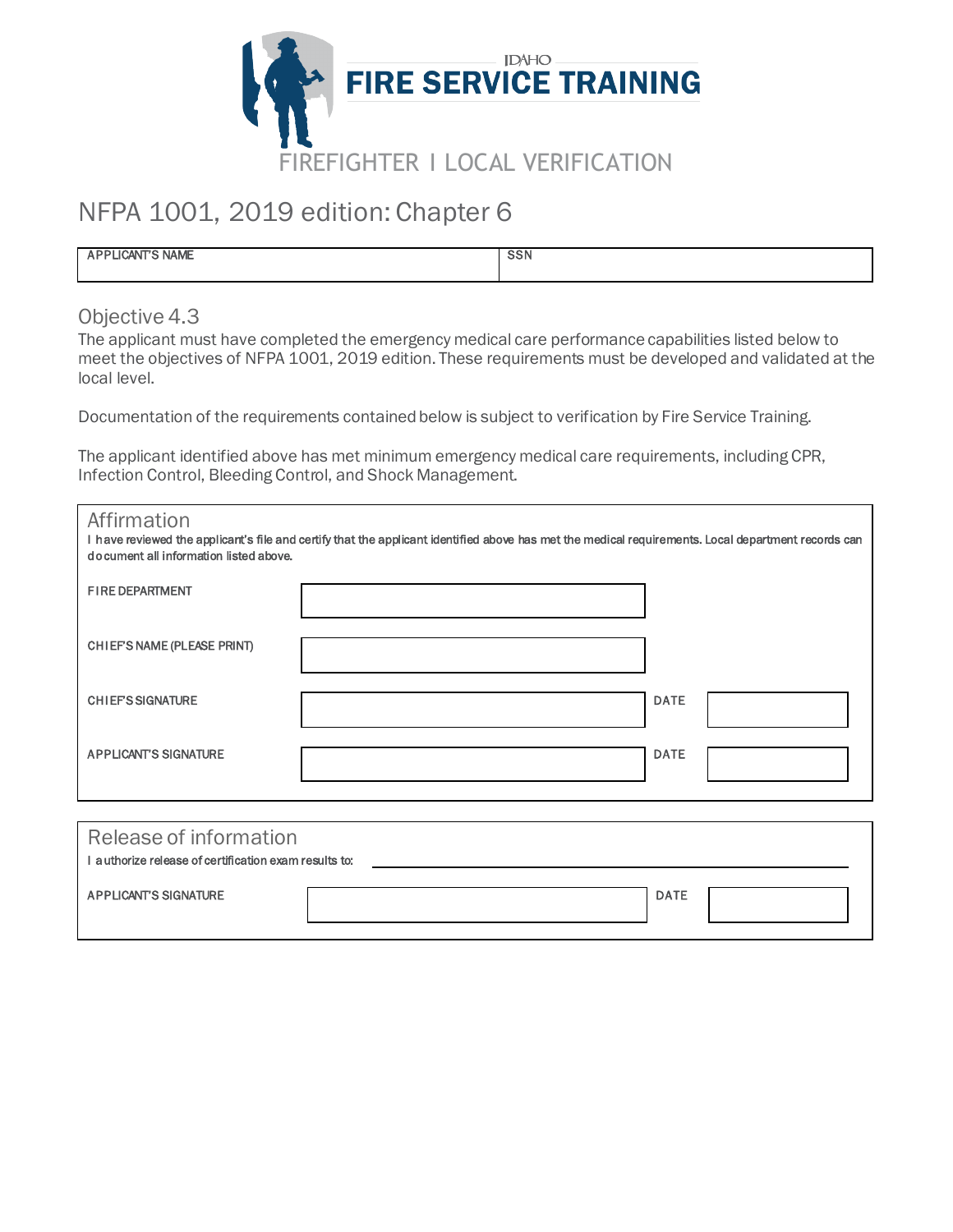

## NFPA 1001, 2019 edition: Chapter 6

| <b>LICANT'S NAME</b> | <b>SSN</b> |
|----------------------|------------|
|                      |            |

Objective 4.3

The applicant must have completed the emergency medical care performance capabilities listed below to meet the objectives of NFPA 1001, 2019 edition. These requirements must be developed and validated at the local level.

Documentation of the requirements contained below is subject to verification by Fire Service Training.

The applicant identified above has met minimum emergency medical care requirements, including CPR, Infection Control, Bleeding Control, and Shock Management.

| Affirmation<br>I have reviewed the applicant's file and certify that the applicant identified above has met the medical requirements. Local department records can<br>document all information listed above. |  |             |  |  |
|--------------------------------------------------------------------------------------------------------------------------------------------------------------------------------------------------------------|--|-------------|--|--|
| <b>FIRE DEPARTMENT</b>                                                                                                                                                                                       |  |             |  |  |
| CHIEFS NAME (PLEASE PRINT)                                                                                                                                                                                   |  |             |  |  |
| <b>CHIEFS SIGNATURE</b>                                                                                                                                                                                      |  | <b>DATE</b> |  |  |
| <b>APPLICANT'S SIGNATURE</b>                                                                                                                                                                                 |  | <b>DATE</b> |  |  |
|                                                                                                                                                                                                              |  |             |  |  |
| Release of information                                                                                                                                                                                       |  |             |  |  |
| I authorize release of certification exam results to:                                                                                                                                                        |  |             |  |  |

APPLICANT'S SIGNATURE DATE DATE DATE AND A SERIES OF DATE DATE DATE OF DATE DATE OF DATE OF DATE OF DATE OF DATE OF DATE OF DATE OF DATE OF DATE OF DATE OF DATE OF DATE OF DATE OF DATE OF DATE OF DATE OF DATE OF DATE OF DA